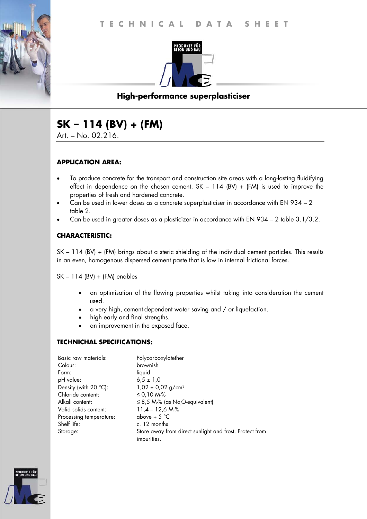

# **High-performance superplasticiser**

# **SK – 114 (BV) + (FM)**

Art. – No. 02.216.

## **APPLICATION AREA:**

- To produce concrete for the transport and construction site areas with a long-lasting fluidifying effect in dependence on the chosen cement.  $SK - 114$  (BV) + (FM) is used to improve the properties of fresh and hardened concrete.
- Can be used in lower doses as a concrete superplasticiser in accordance with EN 934 2 table 2.
- Can be used in greater doses as a plasticizer in accordance with EN 934 2 table 3.1/3.2.

## **CHARACTERISTIC:**

SK – 114 (BV) + (FM) brings about a steric shielding of the individual cement particles. This results in an even, homogenous dispersed cement paste that is low in internal frictional forces.

SK – 114 (BV) + (FM) enables

- an optimisation of the flowing properties whilst taking into consideration the cement used.
- a very high, cement-dependent water saving and / or liquefaction.
- high early and final strengths.
- an improvement in the exposed face.

#### **TECHNICHAL SPECIFICATIONS:**

| Basic raw materials:    | Polycarboxylatether                                                    |
|-------------------------|------------------------------------------------------------------------|
| Colour:                 | brownish                                                               |
| Form:                   | liquid                                                                 |
| pH value:               | $6.5 \pm 1.0$                                                          |
| Density (with 20 °C):   | $1,02 \pm 0,02$ g/cm <sup>3</sup>                                      |
| Chloride content:       | ≤ 0,10 M-%                                                             |
| Alkali content:         | $\leq$ 8,5 M-% (as Na <sub>.</sub> O-equivalent)                       |
| Valid solids content:   | $11,4 - 12,6 M\%$                                                      |
| Processing temperature: | above + $5^{\circ}$ C                                                  |
| Shelf life:             | c. 12 months                                                           |
| Storage:                | Store away from direct sunlight and frost. Protect from<br>impurities. |